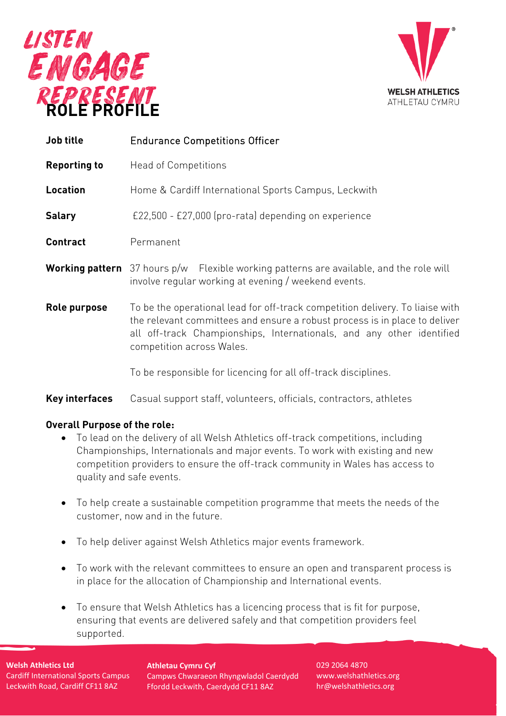



| <b>Job title</b>    | <b>Endurance Competitions Officer</b>                                                                                                                                                                                                                             |  |
|---------------------|-------------------------------------------------------------------------------------------------------------------------------------------------------------------------------------------------------------------------------------------------------------------|--|
| <b>Reporting to</b> | <b>Head of Competitions</b>                                                                                                                                                                                                                                       |  |
| Location            | Home & Cardiff International Sports Campus, Leckwith                                                                                                                                                                                                              |  |
| <b>Salary</b>       | £22,500 - £27,000 (pro-rata) depending on experience                                                                                                                                                                                                              |  |
| <b>Contract</b>     | Permanent                                                                                                                                                                                                                                                         |  |
|                     | <b>Working pattern</b> 37 hours p/w Flexible working patterns are available, and the role will<br>involve regular working at evening / weekend events.                                                                                                            |  |
| Role purpose        | To be the operational lead for off-track competition delivery. To liaise with<br>the relevant committees and ensure a robust process is in place to deliver<br>all off-track Championships, Internationals, and any other identified<br>competition across Wales. |  |
|                     | To be responsible for licencing for all off-track disciplines.                                                                                                                                                                                                    |  |

# **Key interfaces** Casual support staff, volunteers, officials, contractors, athletes

## **Overall Purpose of the role:**

- To lead on the delivery of all Welsh Athletics off-track competitions, including Championships, Internationals and major events. To work with existing and new competition providers to ensure the off-track community in Wales has access to quality and safe events.
- To help create a sustainable competition programme that meets the needs of the customer, now and in the future.
- To help deliver against Welsh Athletics major events framework.
- To work with the relevant committees to ensure an open and transparent process is in place for the allocation of Championship and International events.
- To ensure that Welsh Athletics has a licencing process that is fit for purpose, ensuring that events are delivered safely and that competition providers feel supported.

**Welsh Athletics Ltd** Cardiff International Sports Campus Leckwith Road, Cardiff CF11 8AZ

**Athletau Cymru Cyf** Campws Chwaraeon Rhyngwladol Caerdydd Ffordd Leckwith, Caerdydd CF11 8AZ

029 2064 4870 www.welshathletics.org hr@welshathletics.org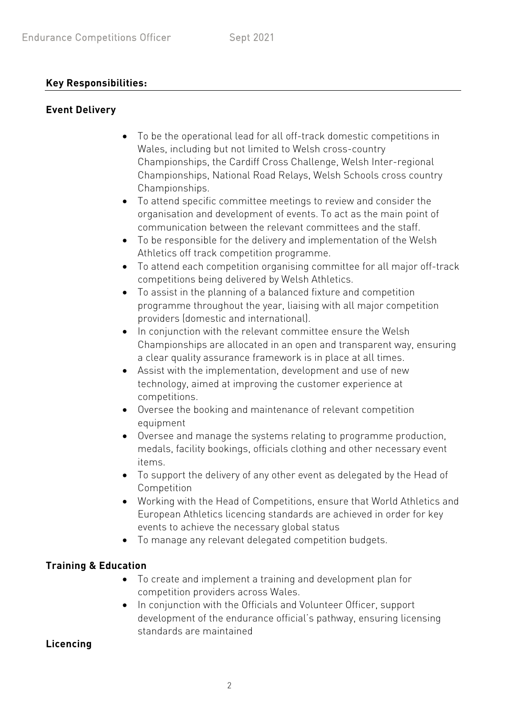### **Key Responsibilities:**

### **Event Delivery**

- To be the operational lead for all off-track domestic competitions in Wales, including but not limited to Welsh cross-country Championships, the Cardiff Cross Challenge, Welsh Inter-regional Championships, National Road Relays, Welsh Schools cross country Championships.
- To attend specific committee meetings to review and consider the organisation and development of events. To act as the main point of communication between the relevant committees and the staff.
- To be responsible for the delivery and implementation of the Welsh Athletics off track competition programme.
- To attend each competition organising committee for all major off-track competitions being delivered by Welsh Athletics.
- To assist in the planning of a balanced fixture and competition programme throughout the year, liaising with all major competition providers (domestic and international).
- In conjunction with the relevant committee ensure the Welsh Championships are allocated in an open and transparent way, ensuring a clear quality assurance framework is in place at all times.
- Assist with the implementation, development and use of new technology, aimed at improving the customer experience at competitions.
- Oversee the booking and maintenance of relevant competition equipment
- Oversee and manage the systems relating to programme production, medals, facility bookings, officials clothing and other necessary event items.
- To support the delivery of any other event as delegated by the Head of Competition
- Working with the Head of Competitions, ensure that World Athletics and European Athletics licencing standards are achieved in order for key events to achieve the necessary global status
- To manage any relevant delegated competition budgets.

## **Training & Education**

- To create and implement a training and development plan for competition providers across Wales.
- In conjunction with the Officials and Volunteer Officer, support development of the endurance official's pathway, ensuring licensing standards are maintained

## **Licencing**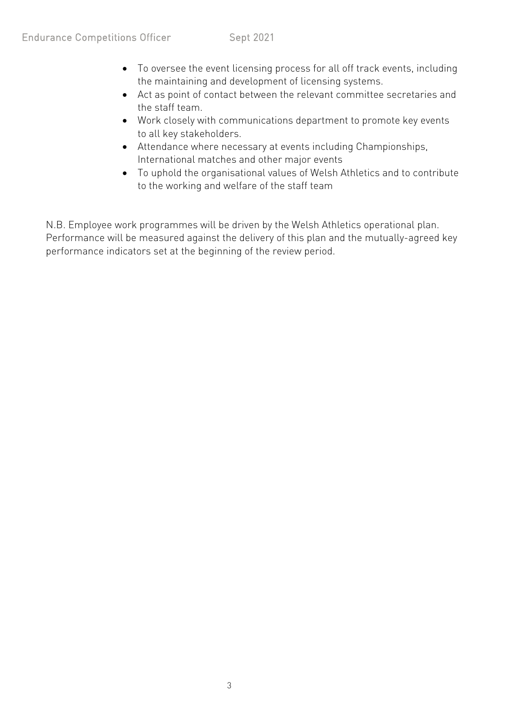- To oversee the event licensing process for all off track events, including the maintaining and development of licensing systems.
- Act as point of contact between the relevant committee secretaries and the staff team.
- Work closely with communications department to promote key events to all key stakeholders.
- Attendance where necessary at events including Championships, International matches and other major events
- To uphold the organisational values of Welsh Athletics and to contribute to the working and welfare of the staff team

N.B. Employee work programmes will be driven by the Welsh Athletics operational plan. Performance will be measured against the delivery of this plan and the mutually-agreed key performance indicators set at the beginning of the review period.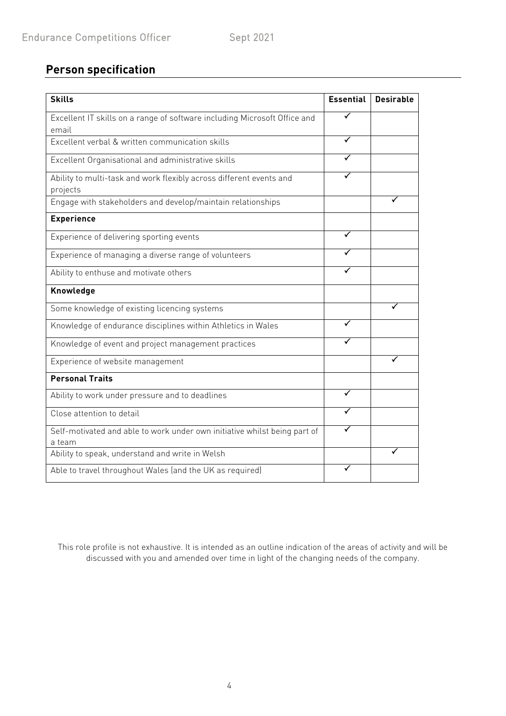# **Person specification**

| <b>Skills</b>                                                                       | <b>Essential</b> | <b>Desirable</b> |
|-------------------------------------------------------------------------------------|------------------|------------------|
| Excellent IT skills on a range of software including Microsoft Office and<br>email  | ✓                |                  |
| Excellent verbal & written communication skills                                     |                  |                  |
| Excellent Organisational and administrative skills                                  |                  |                  |
| Ability to multi-task and work flexibly across different events and<br>projects     |                  |                  |
| Engage with stakeholders and develop/maintain relationships                         |                  |                  |
| <b>Experience</b>                                                                   |                  |                  |
| Experience of delivering sporting events                                            |                  |                  |
| Experience of managing a diverse range of volunteers                                |                  |                  |
| Ability to enthuse and motivate others                                              |                  |                  |
| Knowledge                                                                           |                  |                  |
| Some knowledge of existing licencing systems                                        |                  |                  |
| Knowledge of endurance disciplines within Athletics in Wales                        |                  |                  |
| Knowledge of event and project management practices                                 |                  |                  |
| Experience of website management                                                    |                  |                  |
| <b>Personal Traits</b>                                                              |                  |                  |
| Ability to work under pressure and to deadlines                                     | ✓                |                  |
| Close attention to detail                                                           |                  |                  |
| Self-motivated and able to work under own initiative whilst being part of<br>a team |                  |                  |
| Ability to speak, understand and write in Welsh                                     |                  |                  |
| Able to travel throughout Wales (and the UK as required)                            |                  |                  |

This role profile is not exhaustive. It is intended as an outline indication of the areas of activity and will be discussed with you and amended over time in light of the changing needs of the company.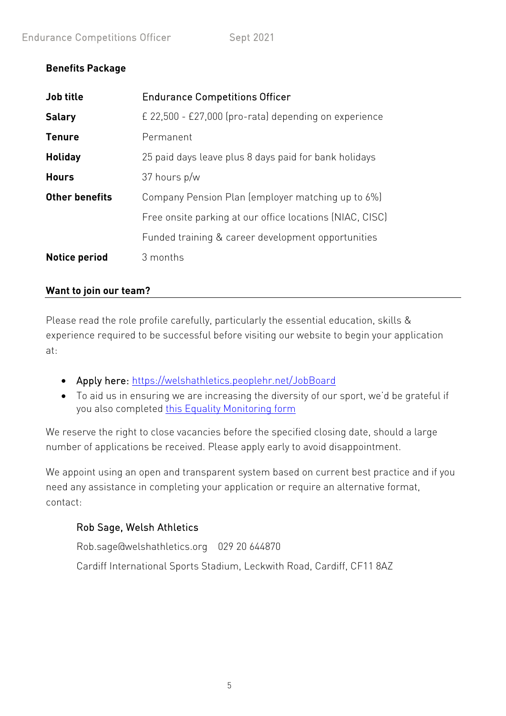# **Benefits Package**

| Job title             | <b>Endurance Competitions Officer</b>                    |
|-----------------------|----------------------------------------------------------|
| <b>Salary</b>         | £ 22,500 - £27,000 (pro-rata) depending on experience    |
| <b>Tenure</b>         | Permanent                                                |
| <b>Holiday</b>        | 25 paid days leave plus 8 days paid for bank holidays    |
| <b>Hours</b>          | 37 hours p/w                                             |
| <b>Other benefits</b> | Company Pension Plan (employer matching up to 6%)        |
|                       | Free onsite parking at our office locations (NIAC, CISC) |
|                       | Funded training & career development opportunities       |
| <b>Notice period</b>  | 3 months                                                 |

### **Want to join our team?**

Please read the role profile carefully, particularly the essential education, skills & experience required to be successful before visiting our website to begin your application at:

- Apply here:<https://welshathletics.peoplehr.net/JobBoard>
- To aid us in ensuring we are increasing the diversity of our sport, we'd be grateful if you also completed [this Equality Monitoring form](https://forms.office.com/Pages/ResponsePage.aspx?id=1-RDfO1nXUekdsPXx6hqNm2Wiir5IeZLlSKzNPdObGRURVhFT0VUMlI2RkJVTllLS1lUTVgyOEFGRyQlQCN0PWcu)

We reserve the right to close vacancies before the specified closing date, should a large number of applications be received. Please apply early to avoid disappointment.

We appoint using an open and transparent system based on current best practice and if you need any assistance in completing your application or require an alternative format, contact:

## Rob Sage, Welsh Athletics

Rob.sage@welshathletics.org 029 20 644870 Cardiff International Sports Stadium, Leckwith Road, Cardiff, CF11 8AZ